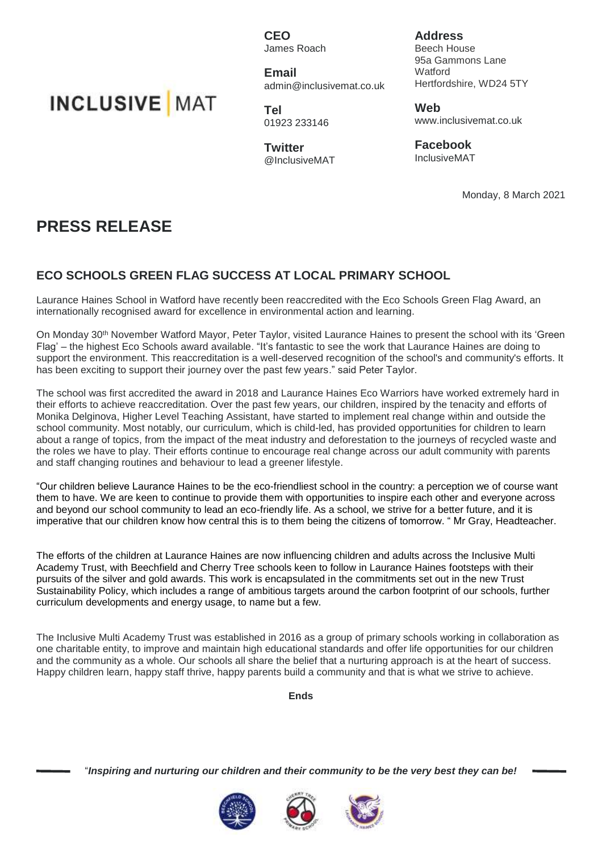**INCLUSIVE** MAT

**CEO** James Roach

**Email** admin@inclusivemat.co.uk

**Tel** 01923 233146

**Twitter** @InclusiveMAT

**Address** Beech House 95a Gammons Lane **Watford** Hertfordshire, WD24 5TY

**Web** www.inclusivemat.co.uk

**Facebook** InclusiveMAT

Monday, 8 March 2021

## **PRESS RELEASE**

## **ECO SCHOOLS GREEN FLAG SUCCESS AT LOCAL PRIMARY SCHOOL**

Laurance Haines School in Watford have recently been reaccredited with the Eco Schools Green Flag Award, an internationally recognised award for excellence in environmental action and learning.

On Monday 30th November Watford Mayor, Peter Taylor, visited Laurance Haines to present the school with its 'Green Flag' – the highest Eco Schools award available. "It's fantastic to see the work that Laurance Haines are doing to support the environment. This reaccreditation is a well-deserved recognition of the school's and community's efforts. It has been exciting to support their journey over the past few years." said Peter Taylor.

The school was first accredited the award in 2018 and Laurance Haines Eco Warriors have worked extremely hard in their efforts to achieve reaccreditation. Over the past few years, our children, inspired by the tenacity and efforts of Monika Delginova, Higher Level Teaching Assistant, have started to implement real change within and outside the school community. Most notably, our curriculum, which is child-led, has provided opportunities for children to learn about a range of topics, from the impact of the meat industry and deforestation to the journeys of recycled waste and the roles we have to play. Their efforts continue to encourage real change across our adult community with parents and staff changing routines and behaviour to lead a greener lifestyle.

"Our children believe Laurance Haines to be the eco-friendliest school in the country: a perception we of course want them to have. We are keen to continue to provide them with opportunities to inspire each other and everyone across and beyond our school community to lead an eco-friendly life. As a school, we strive for a better future, and it is imperative that our children know how central this is to them being the citizens of tomorrow. " Mr Gray, Headteacher.

The efforts of the children at Laurance Haines are now influencing children and adults across the Inclusive Multi Academy Trust, with Beechfield and Cherry Tree schools keen to follow in Laurance Haines footsteps with their pursuits of the silver and gold awards. This work is encapsulated in the commitments set out in the new Trust Sustainability Policy, which includes a range of ambitious targets around the carbon footprint of our schools, further curriculum developments and energy usage, to name but a few.

The Inclusive Multi Academy Trust was established in 2016 as a group of primary schools working in collaboration as one charitable entity, to improve and maintain high educational standards and offer life opportunities for our children and the community as a whole. Our schools all share the belief that a nurturing approach is at the heart of success. Happy children learn, happy staff thrive, happy parents build a community and that is what we strive to achieve.

**Ends**

"*Inspiring and nurturing our children and their community to be the very best they can be!*